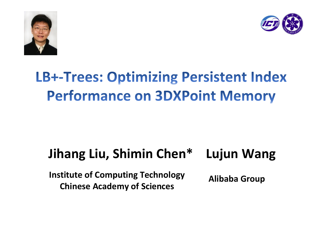



# **LB+-Trees: Optimizing Persistent Index Performance on 3DXPoint Memory**

# **Jihang Liu, Shimin Chen\* Lujun Wang**

**Institute of Computing Technology Chinese Academy of Sciences**

**Alibaba Group**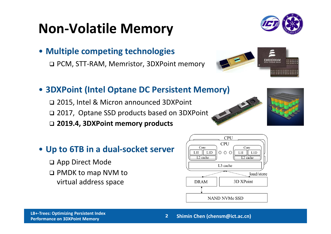# **Non‐Volatile Memory**



• **Multiple competing technologies**

PCM, STT‐RAM, Memristor, 3DXPoint memory



#### • **3DXPoint (Intel Optane DC Persistent Memory)**

 2015, Intel & Micron announced 3DXPoint 2017, Optane SSD products based on 3DXPoint **2019.4, 3DXPoint memory products**



#### • **Up to 6TB in <sup>a</sup> dual‐socket server**

□ App Direct Mode PMDK to map NVM to virtual address space



#### **3DXPoint Memory Shimin Chen (chensm@ict.ac.cn) 2**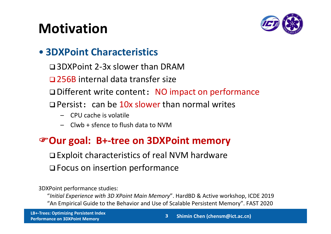# **Motivation**



#### • **3DXPoint Characteristics**

- 3DXPoint 2‐3x slower than DRAM
- □ 256B internal data transfer size
- □ Different write content: NO impact on performance
- **Q** Persist: can be 10x slower than normal writes
	- CPU cache is volatile
	- Clwb <sup>+</sup> sfence to flush data to NVM

#### **Our goal: B+‐tree on 3DXPoint memory**

**□ Exploit characteristics of real NVM hardware □ Focus on insertion performance** 

3DXPoint performance studies:

"*Initial Experience with 3D XPoint Main Memory*". HardBD & Active workshop, ICDE 2019 "An Empirical Guide to the Behavior and Use of Scalable Persistent Memory". FAST 2020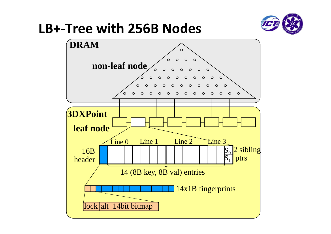## **LB+‐Tree with 256B Nodes**



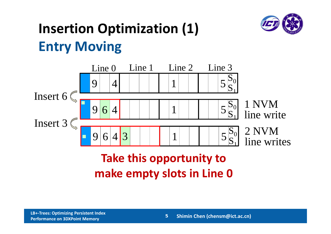

# **Insertion Optimization (1) Entry Moving**



### **Take this opportunity to make empty slots in Line 0**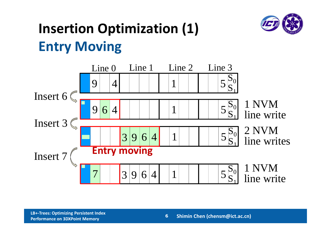# **Insertion Optimization (1) Entry Moving**



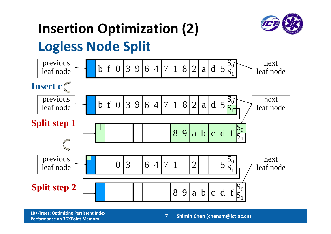

# **Insertion Optimization (2)**

## **Logless Node Split**



**LB+‐Trees: Optimizing Persistent Index Performance on**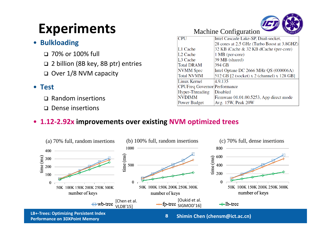# **Experiments**

#### • **Bulkloading**

- 70% or 100% full
- 2 billion (8B key, 8B ptr) entries
- □ Over 1/8 NVM capacity

#### • **Test**

- □ Random insertions
- □ Dense insertions

#### Machine Configuration **CPU** Intel Cascade Lake-SP, Dual-socket. 28 cores at 2.5 GHz (Turbo Boost at 3.8GHZ)  $L1$  Cache 32 KB iCache & 32 KB dCache (per-core) L<sub>2</sub> Cache 1 MB (per-core)  $I.3$  Cache 39 MB (shared) 394 GB **Total DRAM** Intel Optane DC 2666 MHz QS (000006A) **NVMM** Spec **Total NVMM**  $512$  GB  $[2$  (socket) x 2 (channel) x 128 GB

Avg. 15W, Peak 20W

Firmware 01.01.00.5253, App direct mode

4.9.135

**Disabled** 

CPUFreg Governor Performance

#### • **1.12‐2.92x improvements over existing NVM optimized trees**



**Linux Kernel** 

**NVDIMM** 

Power Budget

Hyper-Threading

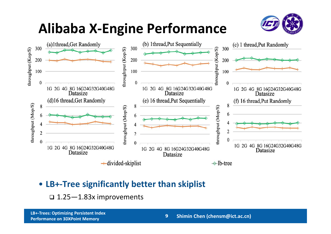# **Alibaba X‐Engine Performance**





#### • **LB+‐Tree significantly better than skiplist**

 $\Box$   $1.25{-}1.83$ x improvements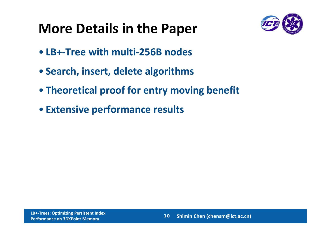# **More Details in the Paper**



- **LB+‐Tree with multi‐256B nodes**
- **Search, insert, delete algorithms**
- **Theoretical proof for entry moving benefit**
- **Extensive performance results**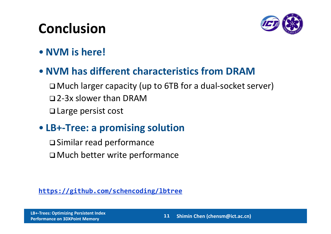# **Conclusion**



•**NVM is here!**

#### •**NVM has different characteristics from DRAM**

 Much larger capacity (up to 6TB for <sup>a</sup> dual‐socket server) 2‐3x slower than DRAM **□ Large persist cost** 

#### • **LB+‐Tree: <sup>a</sup> promising solution**

 Similar read performance Much better write performance

**https://github.com/schencoding/lbtree**